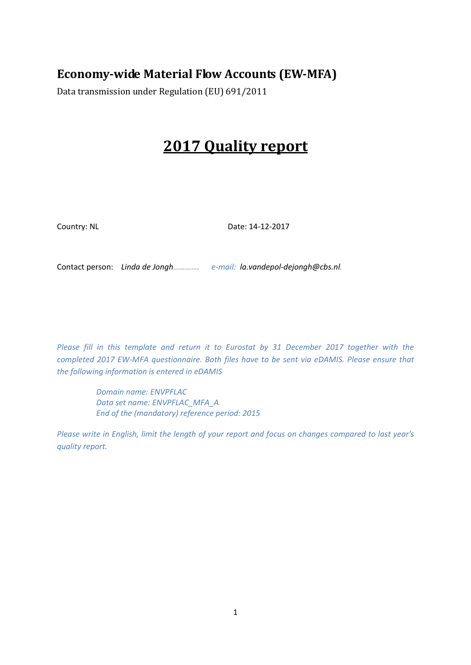### **Economy-wide Material Flow Accounts (EW-MFA)**

Data transmission under Regulation (EU) 691/2011

# **2017 Quality report**

Country: NL Date: 14-12-2017

Contact person: *Linda de Jongh…………. e-mail: la.vandepol-dejongh@cbs.nl.*

*Please fill in this template and return it to Eurostat by 31 December 2017 together with the completed 2017 EW-MFA questionnaire. Both files have to be sent via eDAMIS. Please ensure that the following information is entered in eDAMIS*

> *Domain name: ENVPFLAC Data set name: ENVPFLAC\_MFA\_A End of the (mandatory) reference period: 2015*

*Please write in English, limit the length of your report and focus on changes compared to last year's quality report.*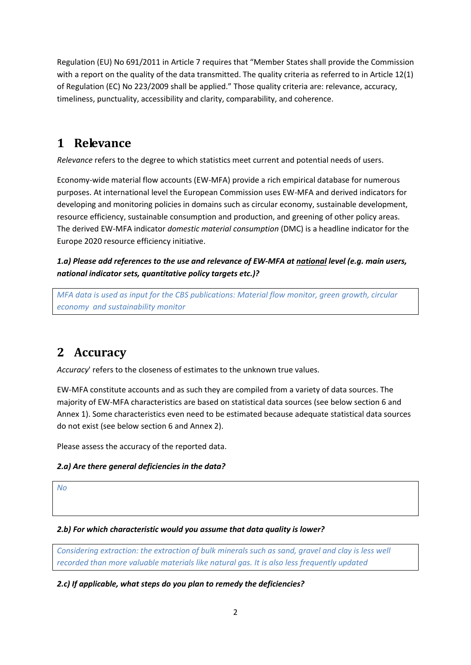Regulation (EU) No 691/2011 in Article 7 requires that "Member States shall provide the Commission with a report on the quality of the data transmitted. The quality criteria as referred to in Article 12(1) of Regulation (EC) No 223/2009 shall be applied." Those quality criteria are: relevance, accuracy, timeliness, punctuality, accessibility and clarity, comparability, and coherence.

### **1 Relevance**

*Relevance* refers to the degree to which statistics meet current and potential needs of users.

Economy-wide material flow accounts (EW-MFA) provide a rich empirical database for numerous purposes. At international level the European Commission uses EW-MFA and derived indicators for developing and monitoring policies in domains such as circular economy, sustainable development, resource efficiency, sustainable consumption and production, and greening of other policy areas. The derived EW-MFA indicator *domestic material consumption* (DMC) is a headline indicator for the Europe 2020 resource efficiency initiative.

*1.a) Please add references to the use and relevance of EW-MFA at national level (e.g. main users, national indicator sets, quantitative policy targets etc.)?*

*MFA data is used as input for the CBS publications: Material flow monitor, green growth, circular economy and sustainability monitor*

## **2 Accuracy**

*Accuracy*' refers to the closeness of estimates to the unknown true values.

EW-MFA constitute accounts and as such they are compiled from a variety of data sources. The majority of EW-MFA characteristics are based on statistical data sources (see below sectio[n 6](#page-3-0) and Annex 1). Some characteristics even need to be estimated because adequate statistical data sources do not exist (see below sectio[n 6](#page-3-0) and Annex 2).

Please assess the accuracy of the reported data.

#### *2.a) Are there general deficiencies in the data?*

*No*

#### *2.b) For which characteristic would you assume that data quality is lower?*

*Considering extraction: the extraction of bulk minerals such as sand, gravel and clay is less well recorded than more valuable materials like natural gas. It is also less frequently updated*

*2.c) If applicable, what steps do you plan to remedy the deficiencies?*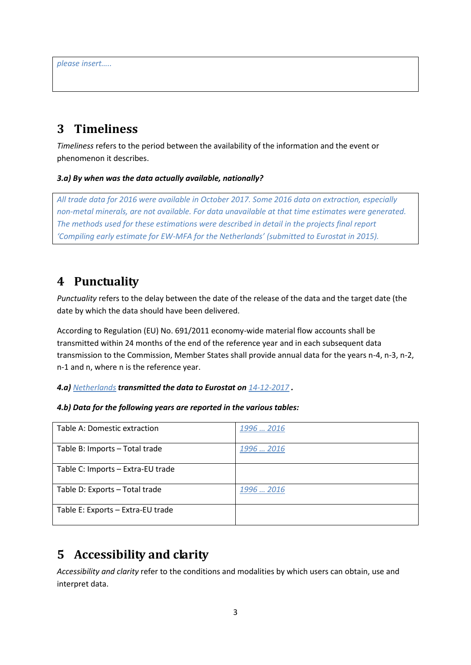### **3 Timeliness**

*Timeliness* refers to the period between the availability of the information and the event or phenomenon it describes.

#### *3.a) By when was the data actually available, nationally?*

*All trade data for 2016 were available in October 2017. Some 2016 data on extraction, especially non-metal minerals, are not available. For data unavailable at that time estimates were generated. The methods used for these estimations were described in detail in the projects final report 'Compiling early estimate for EW-MFA for the Netherlands' (submitted to Eurostat in 2015).*

### **4 Punctuality**

*Punctuality* refers to the delay between the date of the release of the data and the target date (the date by which the data should have been delivered.

According to Regulation (EU) No. 691/2011 economy-wide material flow accounts shall be transmitted within 24 months of the end of the reference year and in each subsequent data transmission to the Commission, Member States shall provide annual data for the years n-4, n-3, n-2, n-1 and n, where n is the reference year.

*4.a) Netherlands transmitted the data to Eurostat on 14-12-2017 .*

#### *4.b) Data for the following years are reported in the various tables:*

| Table A: Domestic extraction      | 1996  2016 |
|-----------------------------------|------------|
| Table B: Imports - Total trade    | 1996  2016 |
| Table C: Imports - Extra-EU trade |            |
| Table D: Exports - Total trade    | 1996  2016 |
| Table E: Exports - Extra-EU trade |            |

### **5 Accessibility and clarity**

*Accessibility and clarity* refer to the conditions and modalities by which users can obtain, use and interpret data.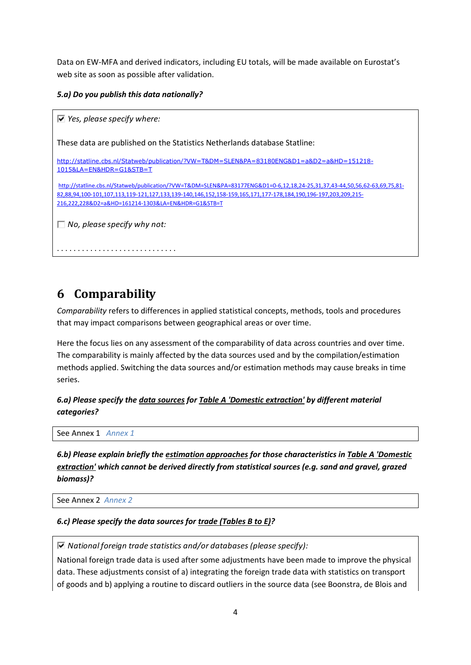Data on EW-MFA and derived indicators, including EU totals, will be made available on Eurostat's web site as soon as possible after validation.

*5.a) Do you publish this data nationally?*

```
Yes, please specify where:
These data are published on the Statistics Netherlands database Statline: 
http://statline.cbs.nl/Statweb/publication/?VW=T&DM=SLEN&PA=83180ENG&D1=a&D2=a&HD=151218-
1015&LA=EN&HDR=G1&STB=T
http://statline.cbs.nl/Statweb/publication/?VW=T&DM=SLEN&PA=83177ENG&D1=0-6,12,18,24-25,31,37,43-44,50,56,62-63,69,75,81-
82,88,94,100-101,107,113,119-121,127,133,139-140,146,152,158-159,165,171,177-178,184,190,196-197,203,209,215-
216,222,228&D2=a&HD=161214-1303&LA=EN&HDR=G1&STB=T
No, please specify why not:
. . . . . . . . . . . . . . . . . . . . . . . . . . . . .
```
### <span id="page-3-0"></span>**6 Comparability**

*Comparability* refers to differences in applied statistical concepts, methods, tools and procedures that may impact comparisons between geographical areas or over time.

Here the focus lies on any assessment of the comparability of data across countries and over time. The comparability is mainly affected by the data sources used and by the compilation/estimation methods applied. Switching the data sources and/or estimation methods may cause breaks in time series.

*6.a) Please specify the data sources for Table A 'Domestic extraction' by different material categories?*

See Annex 1 *Annex 1*

*6.b) Please explain briefly the estimation approaches for those characteristics in Table A 'Domestic extraction' which cannot be derived directly from statistical sources (e.g. sand and gravel, grazed biomass)?*

See Annex 2 *Annex 2*

#### *6.c) Please specify the data sources for trade (Tables B to E)?*

*National foreign trade statistics and/or databases (please specify):*

National foreign trade data is used after some adjustments have been made to improve the physical data. These adjustments consist of a) integrating the foreign trade data with statistics on transport of goods and b) applying a routine to discard outliers in the source data (see Boonstra, de Blois and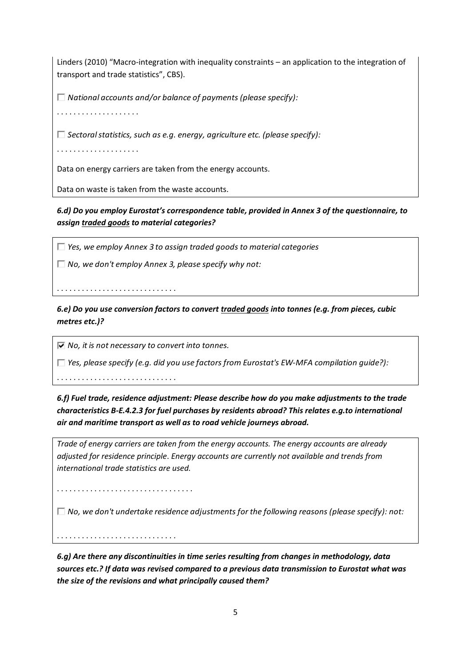Linders (2010) "Macro-integration with inequality constraints – an application to the integration of transport and trade statistics", CBS).

*National accounts and/or balance of payments (please specify):*

. . . . . . . . . . . . . . . . . . . .

*Sectoral statistics, such as e.g. energy, agriculture etc. (please specify):*

. . . . . . . . . . . . . . . . . . . .

Data on energy carriers are taken from the energy accounts.

Data on waste is taken from the waste accounts.

*6.d) Do you employ Eurostat's correspondence table, provided in Annex 3 of the questionnaire, to assign traded goods to material categories?*

*Yes, we employ Annex 3 to assign traded goods to material categories*

*No, we don't employ Annex 3, please specify why not:*

*6.e) Do you use conversion factors to convert traded goods into tonnes (e.g. from pieces, cubic metres etc.)?*

*No, it is not necessary to convert into tonnes.*

*Yes, please specify (e.g. did you use factors from Eurostat's EW-MFA compilation guide?):*

. . . . . . . . . . . . . . . . . . . . . . . . . . . . .

. . . . . . . . . . . . . . . . . . . . . . . . . . . . .

*6.f) Fuel trade, residence adjustment: Please describe how do you make adjustments to the trade characteristics B-E.4.2.3 for fuel purchases by residents abroad? This relates e.g.to international air and maritime transport as well as to road vehicle journeys abroad.*

*Trade of energy carriers are taken from the energy accounts. The energy accounts are already adjusted for residence principle*. *Energy accounts are currently not available and trends from international trade statistics are used.*

. . . . . . . . . . . . . . . . . . . . . . . . . . . . . . . . .

*No, we don't undertake residence adjustments for the following reasons (please specify): not:*

. . . . . . . . . . . . . . . . . . . . . . . . . . . . .

*6.g) Are there any discontinuities in time series resulting from changes in methodology, data sources etc.? If data was revised compared to a previous data transmission to Eurostat what was the size of the revisions and what principally caused them?*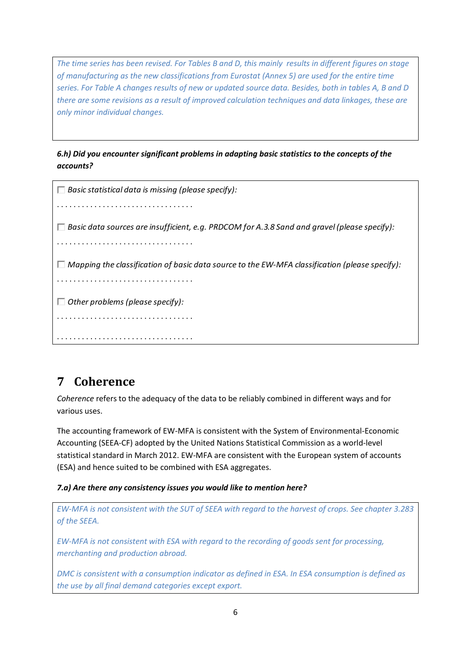*The time series has been revised. For Tables B and D, this mainly results in different figures on stage of manufacturing as the new classifications from Eurostat (Annex 5) are used for the entire time series. For Table A changes results of new or updated source data. Besides, both in tables A, B and D there are some revisions as a result of improved calculation techniques and data linkages, these are only minor individual changes.*

*6.h) Did you encounter significant problems in adapting basic statistics to the concepts of the accounts?*

| $\Box$ Basic statistical data is missing (please specify):                                            |
|-------------------------------------------------------------------------------------------------------|
|                                                                                                       |
| $\Box$ Basic data sources are insufficient, e.g. PRDCOM for A.3.8 Sand and gravel (please specify):   |
|                                                                                                       |
| $\Box$ Mapping the classification of basic data source to the EW-MFA classification (please specify): |
|                                                                                                       |
| $\Box$ Other problems (please specify):                                                               |
|                                                                                                       |
|                                                                                                       |

# **7 Coherence**

*Coherence* refers to the adequacy of the data to be reliably combined in different ways and for various uses.

The accounting framework of EW-MFA is consistent with the System of Environmental-Economic Accounting (SEEA-CF) adopted by the United Nations Statistical Commission as a world-level statistical standard in March 2012. EW-MFA are consistent with the European system of accounts (ESA) and hence suited to be combined with ESA aggregates.

### *7.a) Are there any consistency issues you would like to mention here?*

*EW-MFA is not consistent with the SUT of SEEA with regard to the harvest of crops. See chapter 3.283 of the SEEA.*

*EW-MFA is not consistent with ESA with regard to the recording of goods sent for processing, merchanting and production abroad.*

*DMC is consistent with a consumption indicator as defined in ESA. In ESA consumption is defined as the use by all final demand categories except export.*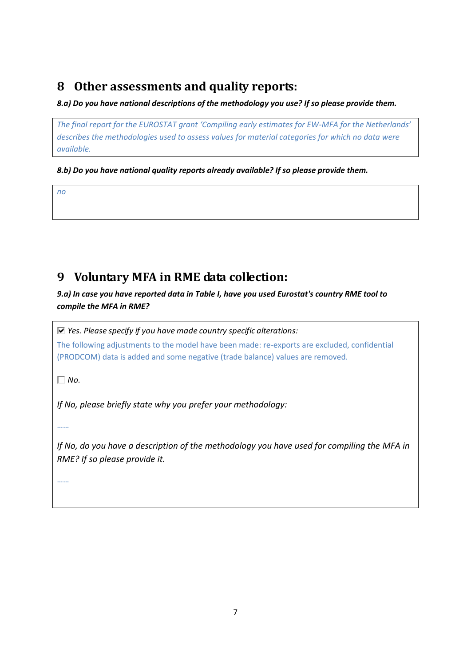## **8 Other assessments and quality reports:**

#### *8.a) Do you have national descriptions of the methodology you use? If so please provide them.*

*The final report for the EUROSTAT grant 'Compiling early estimates for EW-MFA for the Netherlands' describes the methodologies used to assess values for material categories for which no data were available.*

*8.b) Do you have national quality reports already available? If so please provide them.*

*no*

## **9 Voluntary MFA in RME data collection:**

*9.a) In case you have reported data in Table I, have you used Eurostat's country RME tool to compile the MFA in RME?*

*Yes. Please specify if you have made country specific alterations:*

The following adjustments to the model have been made: re-exports are excluded, confidential (PRODCOM) data is added and some negative (trade balance) values are removed.

*No.*

*If No, please briefly state why you prefer your methodology:*

……

*If No, do you have a description of the methodology you have used for compiling the MFA in RME? If so please provide it.*

……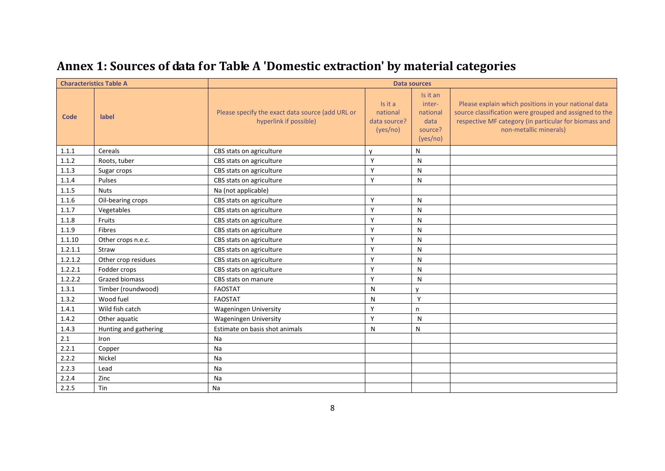| <b>Characteristics Table A</b> |                       | <b>Data sources</b>                                                        |                                                 |                                                               |                                                                                                                                                                                                   |  |
|--------------------------------|-----------------------|----------------------------------------------------------------------------|-------------------------------------------------|---------------------------------------------------------------|---------------------------------------------------------------------------------------------------------------------------------------------------------------------------------------------------|--|
| Code                           | label                 | Please specify the exact data source (add URL or<br>hyperlink if possible) | Is it a<br>national<br>data source?<br>(yes/no) | Is it an<br>inter-<br>national<br>data<br>source?<br>(yes/no) | Please explain which positions in your national data<br>source classification were grouped and assigned to the<br>respective MF category (in particular for biomass and<br>non-metallic minerals) |  |
| 1.1.1                          | Cereals               | CBS stats on agriculture                                                   | v                                               | N                                                             |                                                                                                                                                                                                   |  |
| 1.1.2                          | Roots, tuber          | CBS stats on agriculture                                                   | Y                                               | N                                                             |                                                                                                                                                                                                   |  |
| 1.1.3                          | Sugar crops           | CBS stats on agriculture                                                   | Y                                               | N                                                             |                                                                                                                                                                                                   |  |
| 1.1.4                          | Pulses                | CBS stats on agriculture                                                   | Y                                               | N                                                             |                                                                                                                                                                                                   |  |
| 1.1.5                          | <b>Nuts</b>           | Na (not applicable)                                                        |                                                 |                                                               |                                                                                                                                                                                                   |  |
| 1.1.6                          | Oil-bearing crops     | CBS stats on agriculture                                                   | Y                                               | N                                                             |                                                                                                                                                                                                   |  |
| 1.1.7                          | Vegetables            | CBS stats on agriculture                                                   | Y                                               | N                                                             |                                                                                                                                                                                                   |  |
| 1.1.8                          | Fruits                | CBS stats on agriculture                                                   | Υ                                               | N                                                             |                                                                                                                                                                                                   |  |
| 1.1.9                          | Fibres                | CBS stats on agriculture                                                   | Y                                               | N                                                             |                                                                                                                                                                                                   |  |
| 1.1.10                         | Other crops n.e.c.    | CBS stats on agriculture                                                   | Y                                               | N                                                             |                                                                                                                                                                                                   |  |
| 1.2.1.1                        | Straw                 | CBS stats on agriculture                                                   | Y                                               | N                                                             |                                                                                                                                                                                                   |  |
| 1.2.1.2                        | Other crop residues   | CBS stats on agriculture                                                   | Υ                                               | N                                                             |                                                                                                                                                                                                   |  |
| 1.2.2.1                        | Fodder crops          | CBS stats on agriculture                                                   | Y                                               | N                                                             |                                                                                                                                                                                                   |  |
| 1.2.2.2                        | <b>Grazed biomass</b> | CBS stats on manure                                                        | Y                                               | N                                                             |                                                                                                                                                                                                   |  |
| 1.3.1                          | Timber (roundwood)    | FAOSTAT                                                                    | N                                               | v                                                             |                                                                                                                                                                                                   |  |
| 1.3.2                          | Wood fuel             | <b>FAOSTAT</b>                                                             | N                                               | Y                                                             |                                                                                                                                                                                                   |  |
| 1.4.1                          | Wild fish catch       | Wageningen University                                                      | Y                                               | n                                                             |                                                                                                                                                                                                   |  |
| 1.4.2                          | Other aquatic         | <b>Wageningen University</b>                                               | Y                                               | N                                                             |                                                                                                                                                                                                   |  |
| 1.4.3                          | Hunting and gathering | Estimate on basis shot animals                                             | N                                               | N                                                             |                                                                                                                                                                                                   |  |
| 2.1                            | Iron                  | Na                                                                         |                                                 |                                                               |                                                                                                                                                                                                   |  |
| 2.2.1                          | Copper                | Na                                                                         |                                                 |                                                               |                                                                                                                                                                                                   |  |
| 2.2.2                          | Nickel                | Na                                                                         |                                                 |                                                               |                                                                                                                                                                                                   |  |
| 2.2.3                          | Lead                  | Na                                                                         |                                                 |                                                               |                                                                                                                                                                                                   |  |
| 2.2.4                          | Zinc                  | Na                                                                         |                                                 |                                                               |                                                                                                                                                                                                   |  |
| 2.2.5                          | Tin                   | Na                                                                         |                                                 |                                                               |                                                                                                                                                                                                   |  |

# **Annex 1: Sources of data for Table A 'Domestic extraction' by material categories**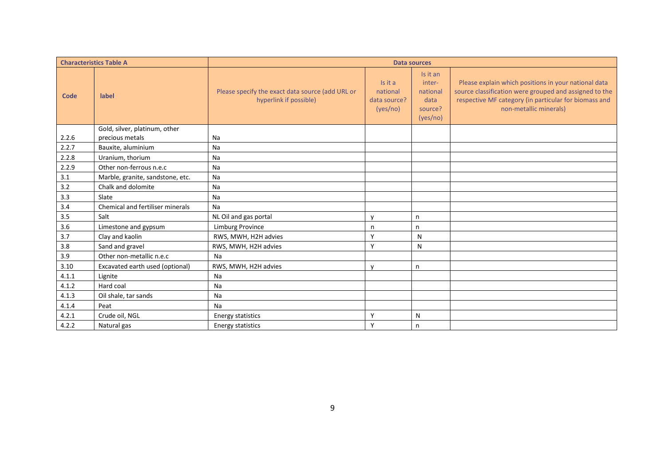|             | <b>Characteristics Table A</b>   | <b>Data sources</b>                                                        |                                                 |                                                               |                                                                                                                                                                                                   |  |
|-------------|----------------------------------|----------------------------------------------------------------------------|-------------------------------------------------|---------------------------------------------------------------|---------------------------------------------------------------------------------------------------------------------------------------------------------------------------------------------------|--|
| <b>Code</b> | label                            | Please specify the exact data source (add URL or<br>hyperlink if possible) | Is it a<br>national<br>data source?<br>(yes/no) | Is it an<br>inter-<br>national<br>data<br>source?<br>(yes/no) | Please explain which positions in your national data<br>source classification were grouped and assigned to the<br>respective MF category (in particular for biomass and<br>non-metallic minerals) |  |
|             | Gold, silver, platinum, other    |                                                                            |                                                 |                                                               |                                                                                                                                                                                                   |  |
| 2.2.6       | precious metals                  | Na                                                                         |                                                 |                                                               |                                                                                                                                                                                                   |  |
| 2.2.7       | Bauxite, aluminium               | Na                                                                         |                                                 |                                                               |                                                                                                                                                                                                   |  |
| 2.2.8       | Uranium, thorium                 | Na                                                                         |                                                 |                                                               |                                                                                                                                                                                                   |  |
| 2.2.9       | Other non-ferrous n.e.c          | Na                                                                         |                                                 |                                                               |                                                                                                                                                                                                   |  |
| 3.1         | Marble, granite, sandstone, etc. | Na                                                                         |                                                 |                                                               |                                                                                                                                                                                                   |  |
| 3.2         | Chalk and dolomite               | Na                                                                         |                                                 |                                                               |                                                                                                                                                                                                   |  |
| 3.3         | Slate                            | Na                                                                         |                                                 |                                                               |                                                                                                                                                                                                   |  |
| 3.4         | Chemical and fertiliser minerals | Na                                                                         |                                                 |                                                               |                                                                                                                                                                                                   |  |
| 3.5         | Salt                             | NL Oil and gas portal                                                      | $\mathsf{v}$                                    | n                                                             |                                                                                                                                                                                                   |  |
| 3.6         | Limestone and gypsum             | <b>Limburg Province</b>                                                    | n                                               | n                                                             |                                                                                                                                                                                                   |  |
| 3.7         | Clay and kaolin                  | RWS, MWH, H2H advies                                                       | Y                                               | N                                                             |                                                                                                                                                                                                   |  |
| 3.8         | Sand and gravel                  | RWS, MWH, H2H advies                                                       | Y                                               | N                                                             |                                                                                                                                                                                                   |  |
| 3.9         | Other non-metallic n.e.c         | Na                                                                         |                                                 |                                                               |                                                                                                                                                                                                   |  |
| 3.10        | Excavated earth used (optional)  | RWS, MWH, H2H advies                                                       | $\mathbf v$                                     | n                                                             |                                                                                                                                                                                                   |  |
| 4.1.1       | Lignite                          | Na                                                                         |                                                 |                                                               |                                                                                                                                                                                                   |  |
| 4.1.2       | Hard coal                        | Na                                                                         |                                                 |                                                               |                                                                                                                                                                                                   |  |
| 4.1.3       | Oil shale, tar sands             | Na                                                                         |                                                 |                                                               |                                                                                                                                                                                                   |  |
| 4.1.4       | Peat                             | Na                                                                         |                                                 |                                                               |                                                                                                                                                                                                   |  |
| 4.2.1       | Crude oil, NGL                   | Energy statistics                                                          | Y                                               | N                                                             |                                                                                                                                                                                                   |  |
| 4.2.2       | Natural gas                      | <b>Energy statistics</b>                                                   | Y                                               | n                                                             |                                                                                                                                                                                                   |  |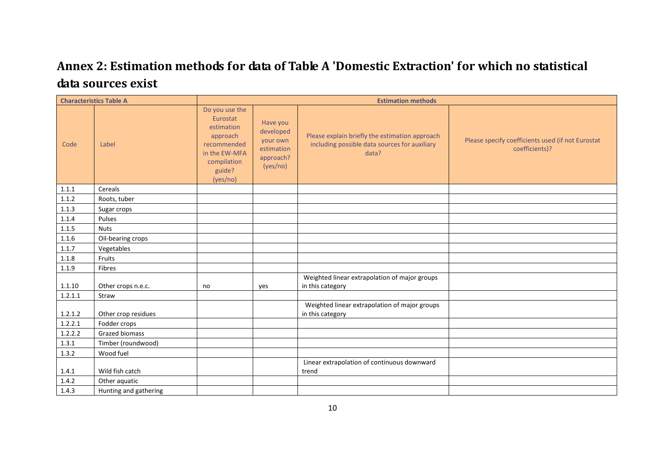## **Annex 2: Estimation methods for data of Table A 'Domestic Extraction' for which no statistical data sources exist**

|         | <b>Characteristics Table A</b> | <b>Estimation methods</b>                                                                                                 |                                                                          |                                                                                                          |                                                                     |
|---------|--------------------------------|---------------------------------------------------------------------------------------------------------------------------|--------------------------------------------------------------------------|----------------------------------------------------------------------------------------------------------|---------------------------------------------------------------------|
| Code    | Label                          | Do you use the<br>Eurostat<br>estimation<br>approach<br>recommended<br>in the EW-MFA<br>compilation<br>guide?<br>(yes/no) | Have you<br>developed<br>your own<br>estimation<br>approach?<br>(yes/no) | Please explain briefly the estimation approach<br>including possible data sources for auxiliary<br>data? | Please specify coefficients used (if not Eurostat<br>coefficients)? |
| 1.1.1   | Cereals                        |                                                                                                                           |                                                                          |                                                                                                          |                                                                     |
| 1.1.2   | Roots, tuber                   |                                                                                                                           |                                                                          |                                                                                                          |                                                                     |
| 1.1.3   | Sugar crops                    |                                                                                                                           |                                                                          |                                                                                                          |                                                                     |
| 1.1.4   | Pulses                         |                                                                                                                           |                                                                          |                                                                                                          |                                                                     |
| 1.1.5   | <b>Nuts</b>                    |                                                                                                                           |                                                                          |                                                                                                          |                                                                     |
| 1.1.6   | Oil-bearing crops              |                                                                                                                           |                                                                          |                                                                                                          |                                                                     |
| 1.1.7   | Vegetables                     |                                                                                                                           |                                                                          |                                                                                                          |                                                                     |
| 1.1.8   | Fruits                         |                                                                                                                           |                                                                          |                                                                                                          |                                                                     |
| 1.1.9   | Fibres                         |                                                                                                                           |                                                                          |                                                                                                          |                                                                     |
| 1.1.10  | Other crops n.e.c.             | no                                                                                                                        | yes                                                                      | Weighted linear extrapolation of major groups<br>in this category                                        |                                                                     |
| 1.2.1.1 | Straw                          |                                                                                                                           |                                                                          |                                                                                                          |                                                                     |
| 1.2.1.2 | Other crop residues            |                                                                                                                           |                                                                          | Weighted linear extrapolation of major groups<br>in this category                                        |                                                                     |
| 1.2.2.1 | Fodder crops                   |                                                                                                                           |                                                                          |                                                                                                          |                                                                     |
| 1.2.2.2 | <b>Grazed biomass</b>          |                                                                                                                           |                                                                          |                                                                                                          |                                                                     |
| 1.3.1   | Timber (roundwood)             |                                                                                                                           |                                                                          |                                                                                                          |                                                                     |
| 1.3.2   | Wood fuel                      |                                                                                                                           |                                                                          |                                                                                                          |                                                                     |
| 1.4.1   | Wild fish catch                |                                                                                                                           |                                                                          | Linear extrapolation of continuous downward<br>trend                                                     |                                                                     |
| 1.4.2   | Other aquatic                  |                                                                                                                           |                                                                          |                                                                                                          |                                                                     |
| 1.4.3   | Hunting and gathering          |                                                                                                                           |                                                                          |                                                                                                          |                                                                     |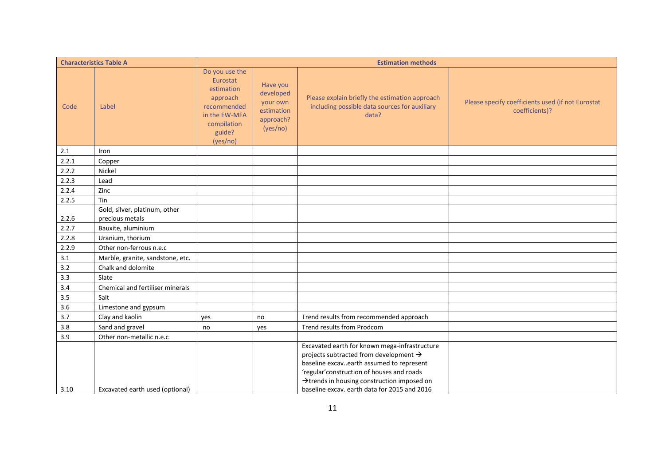|         | <b>Characteristics Table A</b>                   | <b>Estimation methods</b>                                                                                                 |                                                                          |                                                                                                                                                                                                                                                                                             |                                                                     |
|---------|--------------------------------------------------|---------------------------------------------------------------------------------------------------------------------------|--------------------------------------------------------------------------|---------------------------------------------------------------------------------------------------------------------------------------------------------------------------------------------------------------------------------------------------------------------------------------------|---------------------------------------------------------------------|
| Code    | Label                                            | Do you use the<br>Eurostat<br>estimation<br>approach<br>recommended<br>in the EW-MFA<br>compilation<br>guide?<br>(yes/no) | Have you<br>developed<br>your own<br>estimation<br>approach?<br>(yes/no) | Please explain briefly the estimation approach<br>including possible data sources for auxiliary<br>data?                                                                                                                                                                                    | Please specify coefficients used (if not Eurostat<br>coefficients)? |
| $2.1\,$ | Iron                                             |                                                                                                                           |                                                                          |                                                                                                                                                                                                                                                                                             |                                                                     |
| 2.2.1   | Copper                                           |                                                                                                                           |                                                                          |                                                                                                                                                                                                                                                                                             |                                                                     |
| 2.2.2   | Nickel                                           |                                                                                                                           |                                                                          |                                                                                                                                                                                                                                                                                             |                                                                     |
| 2.2.3   | Lead                                             |                                                                                                                           |                                                                          |                                                                                                                                                                                                                                                                                             |                                                                     |
| 2.2.4   | Zinc                                             |                                                                                                                           |                                                                          |                                                                                                                                                                                                                                                                                             |                                                                     |
| 2.2.5   | Tin                                              |                                                                                                                           |                                                                          |                                                                                                                                                                                                                                                                                             |                                                                     |
| 2.2.6   | Gold, silver, platinum, other<br>precious metals |                                                                                                                           |                                                                          |                                                                                                                                                                                                                                                                                             |                                                                     |
| 2.2.7   | Bauxite, aluminium                               |                                                                                                                           |                                                                          |                                                                                                                                                                                                                                                                                             |                                                                     |
| 2.2.8   | Uranium, thorium                                 |                                                                                                                           |                                                                          |                                                                                                                                                                                                                                                                                             |                                                                     |
| 2.2.9   | Other non-ferrous n.e.c                          |                                                                                                                           |                                                                          |                                                                                                                                                                                                                                                                                             |                                                                     |
| 3.1     | Marble, granite, sandstone, etc.                 |                                                                                                                           |                                                                          |                                                                                                                                                                                                                                                                                             |                                                                     |
| 3.2     | Chalk and dolomite                               |                                                                                                                           |                                                                          |                                                                                                                                                                                                                                                                                             |                                                                     |
| 3.3     | Slate                                            |                                                                                                                           |                                                                          |                                                                                                                                                                                                                                                                                             |                                                                     |
| 3.4     | Chemical and fertiliser minerals                 |                                                                                                                           |                                                                          |                                                                                                                                                                                                                                                                                             |                                                                     |
| 3.5     | Salt                                             |                                                                                                                           |                                                                          |                                                                                                                                                                                                                                                                                             |                                                                     |
| 3.6     | Limestone and gypsum                             |                                                                                                                           |                                                                          |                                                                                                                                                                                                                                                                                             |                                                                     |
| 3.7     | Clay and kaolin                                  | yes                                                                                                                       | no                                                                       | Trend results from recommended approach                                                                                                                                                                                                                                                     |                                                                     |
| 3.8     | Sand and gravel                                  | no                                                                                                                        | yes                                                                      | Trend results from Prodcom                                                                                                                                                                                                                                                                  |                                                                     |
| 3.9     | Other non-metallic n.e.c                         |                                                                                                                           |                                                                          |                                                                                                                                                                                                                                                                                             |                                                                     |
| 3.10    | Excavated earth used (optional)                  |                                                                                                                           |                                                                          | Excavated earth for known mega-infrastructure<br>projects subtracted from development $\rightarrow$<br>baseline excavearth assumed to represent<br>'regular' construction of houses and roads<br>>trends in housing construction imposed on<br>baseline excav. earth data for 2015 and 2016 |                                                                     |